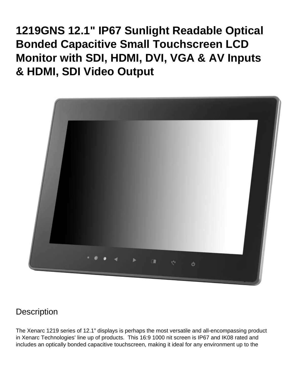**1219GNS 12.1" IP67 Sunlight Readable Optical Bonded Capacitive Small Touchscreen LCD Monitor with SDI, HDMI, DVI, VGA & AV Inputs & HDMI, SDI Video Output**



### **Description**

The Xenarc 1219 series of 12.1" displays is perhaps the most versatile and all-encompassing product in Xenarc Technologies' line up of products. This 16:9 1000 nit screen is IP67 and IK08 rated and includes an optically bonded capacitive touchscreen, making it ideal for any environment up to the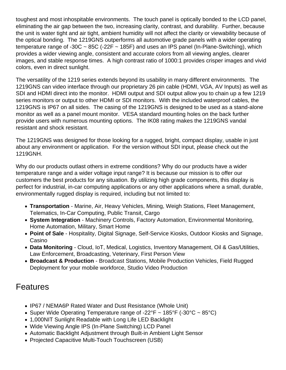toughest and most inhospitable environments. The touch panel is optically bonded to the LCD panel, eliminating the air gap between the two, increasing clarity, contrast, and durability. Further, because the unit is water tight and air tight, ambient humidity will not affect the clarity or viewability because of the optical bonding. The 1219GNS outperforms all automotive grade panels with a wider operating temperature range of -30C  $\sim$  85C (-22F  $\sim$  185F) and uses an IPS panel (In-Plane-Switching), which provides a wider viewing angle, consistent and accurate colors from all viewing angles, clearer images, and stable response times. A high contrast ratio of 1000:1 provides crisper images and vivid colors, even in direct sunlight.

The versatility of the 1219 series extends beyond its usability in many different environments. The 1219GNS can video interface through our proprietary 26 pin cable (HDMI, VGA, AV Inputs) as well as SDI and HDMI direct into the monitor. HDMI output and SDI output allow you to chain up a few 1219 series monitors or output to other HDMI or SDI monitors. With the included waterproof cables, the 1219GNS is IP67 on all sides. The casing of the 1219GNS is designed to be used as a stand-alone monitor as well as a panel mount monitor. VESA standard mounting holes on the back further provide users with numerous mounting options. The IK08 rating makes the 1219GNS vandal resistant and shock resistant.

The 1219GNS was designed for those looking for a rugged, bright, compact display, usable in just about any environment or application. For the version without SDI input, please check out the [1219GNH](https://www.xenarc.com/1219GNH.html).

Why do our products outlast others in extreme conditions? Why do our products have a wider temperature range and a wider voltage input range? It is because our mission is to offer our customers the best products for any situation. By utilizing high grade components, this display is perfect for industrial, in-car computing applications or any other applications where a small, durable, environmentally rugged display is required, including but not limited to:

- [Transportation](https://www.xenarc.com/in-vehicle-display-monitors-fleet-transportation-management.html) - [Marine](https://www.xenarc.com/marine-outdoor-waterproof-display-monitors.html), Air, Heavy Vehicles, Mining, Weigh Stations, Fleet Management, Telematics, In-Car Computing, Public Transit, Cargo
- [System Integration](https://www.xenarc.com/system-integration-industrial-display-monitors.html) Machinery Controls, Factory Automation, Environmental Monitoring, Home Automation, Military, Smart Home
- [Point of Sale](https://www.xenarc.com/pos-touchscreen-display-monitors.html)  Hospitality, [Digital Signage](https://www.xenarc.com/casino-gaming-and-digital-signage-display-monitors.html), Self-Service Kiosks, Outdoor Kiosks and Signage, Casino
- Data Monitoring Cloud, IoT, [Medical](https://www.xenarc.com/medical-grade-touchscreen-display-monitors.html), Logistics, Inventory Management, Oil & Gas/Utilities, Law Enforcement, Broadcasting, Veterinary, First Person View
- [Broadcast & Production](https://www.xenarc.com/1219GNS-12.1-inch-sunlight-readable-IP67-IK08-optically-bonded-capacitive-touchscreen-with-SDI-HDMI-DVI-VGA-AV-Inputs-hdmi-sdi-video-output.html) Broadcast Stations, Mobile Production Vehicles, Field Rugged Deployment for your mobile workforce, Studio Video Production

## **Features**

- IP67 / NEMA6P Rated Water and Dust Resistance (Whole Unit)
- Super Wide Operating Temperature range of -22°F  $\sim$  185°F (-30°C  $\sim$  85°C)
- 1,000NIT Sunlight Readable with Long Life LED Backlight
- Wide Viewing Angle IPS (In-Plane Switching) LCD Panel
- Automatic Backlight Adjustment through Built-in Ambient Light Sensor
- Projected Capacitive Multi-Touch Touchscreen (USB)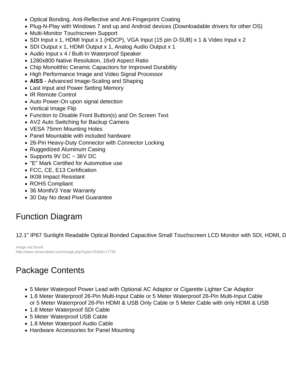- Optical Bonding, Anti-Reflective and Anti-Fingerprint Coating
- Plug-N-Play with Windows 7 and up and Android devices (Downloadable drivers for other OS)
- Multi-Monitor Touchscreen Support
- SDI Input x 1, HDMI Input x 1 (HDCP), VGA Input (15 pin D-SUB) x 1 & Video Input x 2
- SDI Output x 1, HDMI Output x 1, Analog Audio Output x 1
- Audio Input x 4 / Built-In Waterproof Speaker
- 1280x800 Native Resolution, 16x9 Aspect Ratio
- Chip Monolithic Ceramic Capacitors for Improved Durability
- High Performance Image and Video Signal Processor
- AISS Advanced Image-Scaling and Shaping
- Last Input and Power Setting Memory
- IR Remote Control
- Auto Power-On upon signal detection
- Vertical Image Flip
- Function to Disable Front Button(s) and On Screen Text
- AV2 Auto Switching for Backup Camera
- VESA 75mm Mounting Holes
- Panel Mountable with included hardware
- 26-Pin Heavy-Duty Connector with Connector Locking
- Ruggedized Aluminum Casing
- Supports 9V DC ~ 36V DC
- "E" Mark Certified for Automotive use
- FCC, CE, E13 Certification
- IK08 Impact Resistant
- ROHS Compliant
- [36 Month/3 Year Warranty](https://www.xenarc.com/Warranty.html)
- 30 Day No dead Pixel Guarantee

# Function Diagram

#### 12.1" IP67 Sunlight Readable Optical Bonded Capacitive Small Touchscreen LCD Monitor with SDI, HDMI, D

Image not found http://www.xenarcdirect.com/image.php?type=FD&id=17736

# Package Contents

- 5 Meter Waterpoof Power Lead with Optional AC Adaptor or Cigarette Lighter Car Adaptor
- 1.8 Meter Waterproof 26-Pin Multi-Input Cable or 5 Meter Waterproof 26-Pin Multi-Input Cable or 5 Meter Waterrproof 26-Pin HDMI & USB Only Cable or 5 Meter Cable with only HDMI & USB
- 1.8 Meter Waterproof SDI Cable
- 5 Meter Waterproof USB Cable
- 1.8 Meter Waterpoof Audio Cable
- Hardware Accessories for Panel Mounting